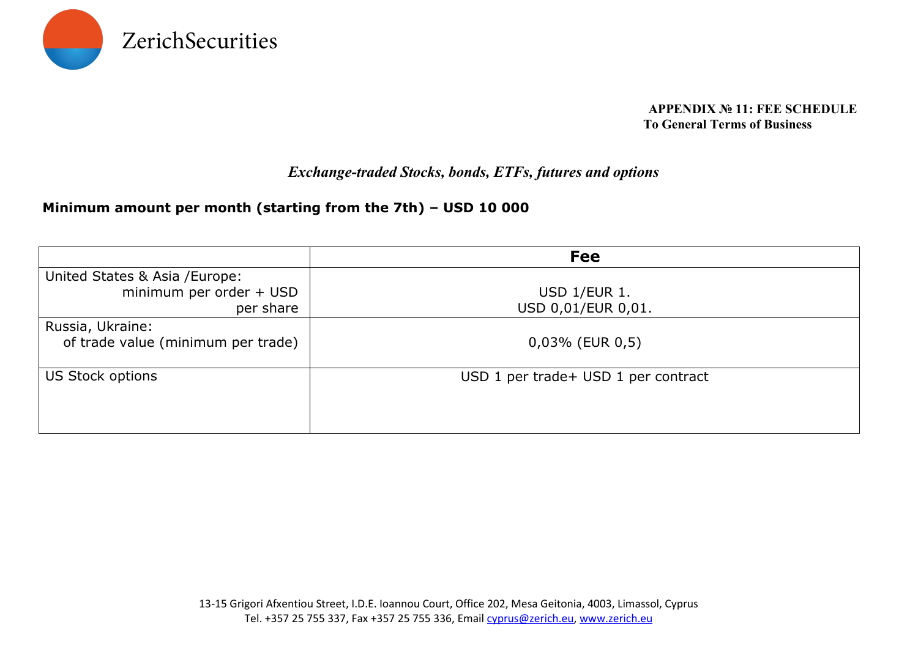

#### **APPENDIX № 11: FEE SCHEDULE To General Terms of Business**

#### *Exchange-traded Stocks, bonds, ETFs, futures and options*

#### **Minimum amount per month (starting from the 7th) – USD 10 000**

|                                                                        | <b>Fee</b>                           |
|------------------------------------------------------------------------|--------------------------------------|
| United States & Asia / Europe:<br>minimum per order + USD<br>per share | USD 1/EUR 1.<br>USD 0,01/EUR 0,01.   |
| Russia, Ukraine:<br>of trade value (minimum per trade)                 | $0,03\%$ (EUR $0,5$ )                |
| US Stock options                                                       | USD 1 per trade + USD 1 per contract |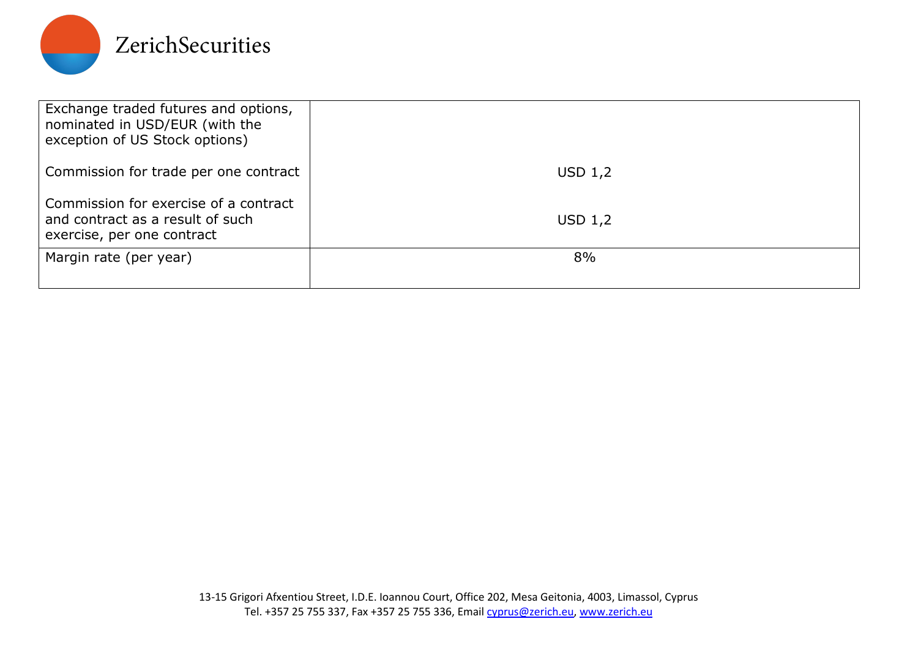

| Exchange traded futures and options,<br>nominated in USD/EUR (with the<br>exception of US Stock options) |           |
|----------------------------------------------------------------------------------------------------------|-----------|
| Commission for trade per one contract                                                                    | USD $1,2$ |
| Commission for exercise of a contract<br>and contract as a result of such<br>exercise, per one contract  | USD $1,2$ |
| Margin rate (per year)                                                                                   | 8%        |